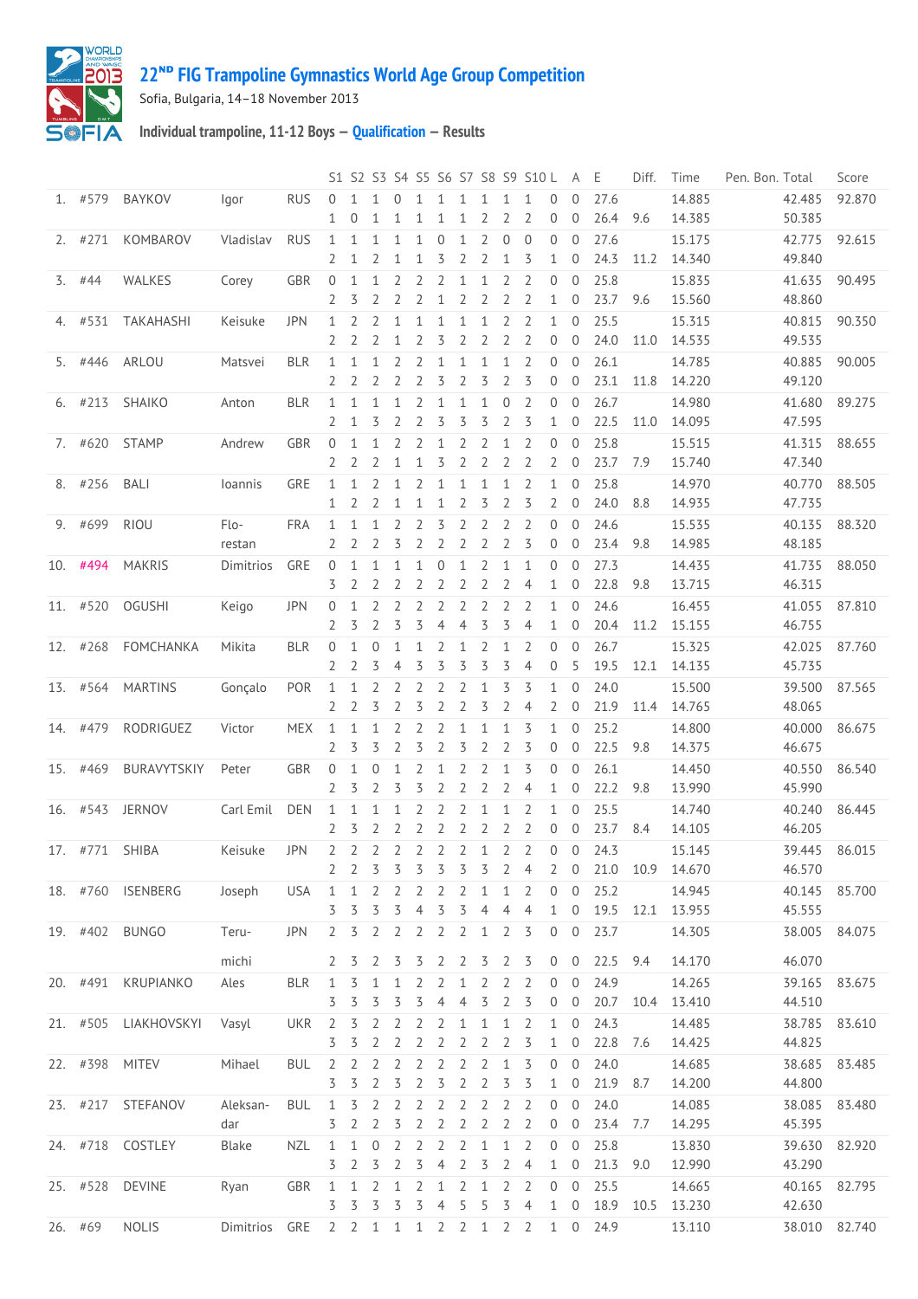

## **ᴺᴰ [FIG Trampoline Gymnastics World Age Group Competition](http://192.168.1.7:9001/event)**

Sofia, Bulgaria, 14–18 November 2013

**Individual trampoline, 11-12 Boys — [Qualification](http://192.168.1.7:9001/stage/6) — Results**

|                  |           |                      |               |            |                |                     |                |                     |                |                |                   |                |                     | S1 S2 S3 S4 S5 S6 S7 S8 S9 S10 L |                | A E                        |              | Diff. | Time             | Pen. Bon. Total  | Score  |
|------------------|-----------|----------------------|---------------|------------|----------------|---------------------|----------------|---------------------|----------------|----------------|-------------------|----------------|---------------------|----------------------------------|----------------|----------------------------|--------------|-------|------------------|------------------|--------|
|                  | 1. #579   | BAYKOV               | lgor          | <b>RUS</b> | $\Omega$<br>1  | $\Omega$            | 1              | $\Omega$            |                |                | 1                 | 2              | 1<br>2              | 1<br>2                           | $\Omega$<br>0  | $\Omega$<br>$\mathbf{0}$   | 27.6<br>26.4 | 9.6   | 14.885<br>14.385 | 42.485<br>50.385 | 92.870 |
|                  | $2.$ #271 | KOMBAROV             | Vladislav     | <b>RUS</b> | 1              | 1                   | 1              | 1                   | 1              | 0              | $\mathbf{1}$      | 2              | 0                   | $\mathbf{0}$                     | 0              | $\mathbf{0}$               | 27.6         |       | 15.175           | 42.775           | 92.615 |
|                  |           |                      |               |            | 2              | 1                   | 2              | 1                   | 1              | 3              | $\overline{2}$    | 2              | $\mathbf 1$         | 3                                | $\mathbf{1}$   | $\mathbf 0$                | 24.3         | 11.2  | 14.340           | 49.840           |        |
| $\overline{3}$ . | #44       | WALKES               | Corey         | GBR        | $\overline{0}$ | 1                   | 1              | 2                   | 2              | 2              | 1                 | 1              | 2                   | 2                                | 0              | $\mathbf 0$                | 25.8         |       | 15.835           | 41.635           | 90.495 |
|                  |           |                      |               |            | 2              | 3                   | 2              | $\overline{2}$      | 2              | 1              | $\overline{2}$    | 2              | $\overline{2}$      | $\overline{2}$                   | 1              | $\mathbf 0$                | 23.7         | 9.6   | 15.560           | 48.860           |        |
|                  | 4. #531   | TAKAHASHI            | Keisuke       | JPN        | 1              | 2                   | $\overline{2}$ | $\mathbf{1}$        | 1              | 1              | $\mathbf{1}$      | 1              | $\overline{2}$      | $\overline{2}$                   | $\mathbf{1}$   | $\mathbf{0}$               | 25.5         |       | 15.315           | 40.815           | 90.350 |
|                  |           |                      |               |            | 2              | 2                   | 2              | 1                   | 2              | 3              | 2                 | 2              | $\overline{2}$      | 2                                | 0              | $\mathbf{0}$               | 24.0         | 11.0  | 14.535           | 49.535           |        |
|                  | 5. #446   | ARLOU                | Matsvei       | <b>BLR</b> | 1              | 1                   | 1              | 2                   | 2              |                | $\mathbf{1}$      | 1              | 1                   | $\overline{2}$                   | 0              | $\mathbf{0}$               | 26.1         |       | 14.785           | 40.885           | 90.005 |
|                  |           |                      |               |            | 2              | 2                   | 2              | 2                   | 2              | 3              | $\overline{2}$    | 3              | $\overline{2}$      | 3                                | 0              | $\mathbf 0$                | 23.1         | 11.8  | 14.220           | 49.120           |        |
|                  | $6.$ #213 | SHAIKO               | Anton         | <b>BLR</b> | 1              | 1                   | 1              | 1                   | 2              | 1              | $\mathbf{1}$      | 1              | 0                   | $\overline{2}$                   | 0              | $\mathbf{0}$               | 26.7         |       | 14.980           | 41.680           | 89.275 |
|                  |           |                      |               |            | 2              | 1                   | 3              | 2                   | 2              | 3              | 3                 | 3              | 2                   | 3                                | 1              | $\mathbf{0}$               | 22.5         | 11.0  | 14.095           | 47.595           |        |
|                  | 7. #620   | <b>STAMP</b>         | Andrew        | <b>GBR</b> | $\mathbf{0}$   | 1                   | 1              | 2                   | 2              |                | $\overline{2}$    | 2              | 1                   | 2                                | 0              | $\mathbf 0$                | 25.8         |       | 15.515           | 41.315           | 88.655 |
|                  |           |                      |               |            | 2              | 2                   | 2              | 1                   | 1              | 3              | $\overline{2}$    | 2              | 2                   | 2                                | $\overline{2}$ | $\mathbf 0$                | 23.7         | 7.9   | 15.740<br>14.970 | 47.340<br>40.770 |        |
| 8.               | #256      | <b>BALI</b>          | loannis       | GRE        | 1<br>1         | 1<br>2              | 2<br>2         | 1<br>1              | 2<br>1         | 1<br>1         | $\mathbf{1}$<br>2 | 1<br>3         | 1<br>$\overline{2}$ | 2<br>3                           | 1<br>2         | 0<br>$\mathbf 0$           | 25.8<br>24.0 | 8.8   | 14.935           | 47.735           | 88.505 |
| 9.               | #699      | <b>RIOU</b>          | Flo-          | <b>FRA</b> | 1              | $\mathbf{1}$        | $\mathbf{1}$   | $\overline{2}$      | $\overline{2}$ | 3              | $\overline{2}$    | $\overline{2}$ | $\overline{2}$      | $\overline{2}$                   | 0              | $\mathbf{0}$               | 24.6         |       | 15.535           | 40.135           | 88.320 |
|                  |           |                      | restan        |            | 2              | 2                   | 2              | 3                   | 2              | 2              | 2                 | 2              | 2                   | 3                                | 0              | $\mathbf{0}$               | 23.4         | 9.8   | 14.985           | 48.185           |        |
| 10.              | #494      | <b>MAKRIS</b>        | Dimitrios     | GRE        | $\mathbf 0$    | 1                   | 1              | 1                   | 1              | 0              | $\mathbf{1}$      | $\overline{2}$ | $\mathbf 1$         | $\mathbf{1}$                     | 0              | $\mathbf{0}$               | 27.3         |       | 14.435           | 41.735           | 88.050 |
|                  |           |                      |               |            | 3              | 2                   | 2              | 2                   | 2              | 2              | $\overline{2}$    | $\overline{2}$ | $\overline{2}$      | $\overline{4}$                   | 1              | $\mathbf 0$                | 22.8         | 9.8   | 13.715           | 46.315           |        |
|                  | 11. #520  | <b>OGUSHI</b>        | Keigo         | JPN        | 0              | 1                   | 2              | 2                   | 2              | 2              | $\overline{2}$    | $\overline{2}$ | $\overline{2}$      | 2                                | 1              | $\mathbf{0}$               | 24.6         |       | 16.455           | 41.055           | 87.810 |
|                  |           |                      |               |            | 2              | 3                   | 2              | 3                   | 3              | 4              | $\overline{4}$    | 3              | 3                   | $\overline{4}$                   | $\mathbf{1}$   | $\mathbf{0}$               | 20.4         | 11.2  | 15.155           | 46.755           |        |
|                  | 12. #268  | FOMCHANKA            | Mikita        | <b>BLR</b> | 0              | 1                   | 0              | 1                   | 1              | 2              | 1                 | 2              | $\mathbf 1$         | 2                                | 0              | $\overline{0}$             | 26.7         |       | 15.325           | 42.025           | 87.760 |
|                  |           |                      |               |            | 2              | 2                   | 3              | 4                   | 3              | 3              | 3                 | 3              | 3                   | 4                                | $\mathbf 0$    | 5                          | 19.5         | 12.1  | 14.135           | 45.735           |        |
| 13.              | #564      | <b>MARTINS</b>       | Gonçalo       | POR        | 1              | 1                   | 2              | 2                   | 2              | 2              | 2                 | 1              | 3                   | 3                                | $\mathbf{1}$   | $\mathbf{0}$               | 24.0         |       | 15.500           | 39.500           | 87.565 |
|                  |           |                      |               |            | 2              | 2                   | 3              | 2                   | 3              | 2              | $\overline{2}$    | 3              | $\overline{2}$      | 4                                | 2              | $\mathbf 0$                | 21.9         | 11.4  | 14.765           | 48.065           |        |
| 14.              | #479      | RODRIGUEZ            | Victor        | <b>MEX</b> | 1              | $\mathbf{1}$        | $\mathbf{1}$   | $\overline{2}$      | $\overline{2}$ | 2              | $\mathbf{1}$      | $\mathbf{1}$   | 1                   | 3                                | $\mathbf{1}$   | $\mathbf{0}$               | 25.2         |       | 14.800           | 40.000           | 86.675 |
|                  |           |                      |               |            | 2              | 3                   | 3              | 2                   | 3              | 2              | 3                 | 2              | 2                   | 3                                | 0              | $\overline{0}$             | 22.5         | 9.8   | 14.375           | 46.675           |        |
|                  | 15. #469  | BURAVYTSKIY          | Peter         | GBR        | $\mathbf 0$    | 1                   | $\mathbf{0}$   | 1                   | 2              | 1              | 2                 | $\overline{2}$ | $\mathbf 1$         | 3                                | 0              | $\mathbf{0}$               | 26.1         |       | 14.450           | 40.550           | 86.540 |
|                  |           |                      |               |            | 2              | 3                   | 2              | 3                   | 3              | 2              | $\overline{2}$    | 2              | $\overline{2}$      | $\overline{4}$                   | 1              | $\mathbf 0$                | 22.2         | 9.8   | 13.990           | 45.990           |        |
|                  | 16. #543  | <b>JERNOV</b>        | Carl Emil     | <b>DEN</b> | 1              | 1                   | 1              | 1                   | 2              | 2              | $\overline{2}$    | $\mathbf{1}$   | 1                   | $\overline{2}$                   | 1              | $\mathbf{0}$               | 25.5         |       | 14.740           | 40.240           | 86.445 |
|                  |           |                      |               |            | 2              | 3                   | 2              | 2                   | 2              | 2              | 2                 | $\overline{2}$ | $\overline{2}$      | $\overline{2}$                   | 0              | $\Omega$                   | 23.7         | 8.4   | 14.105           | 46.205           |        |
|                  |           | 17. #771 SHIBA       | Keisuke       | <b>JPN</b> | 2              | $\overline{2}$      | $\mathbf{2}$   | $\overline{2}$      | 2              | $\overline{2}$ | $\overline{2}$    | $\mathbf{1}$   | $\overline{2}$      | 2                                | 0              | $\mathbf{0}$               | 24.3         |       | 15.145           | 39.445           | 86.015 |
|                  |           |                      |               |            | 2              | 2                   | 3              | 3                   | 3              | 3              | 3                 | 3              | 2                   | 4                                | 2              | $\overline{0}$             | 21.0 10.9    |       | 14.670           | 46.570           |        |
|                  |           | 18. #760 ISENBERG    | Joseph        | <b>USA</b> | 1              | 1                   | 2              | 2                   | 2              | 2              | 2                 | 1              | $\mathbf{1}$        | $\overline{2}$                   | $\Omega$       | $\Omega$                   | 25.2         |       | 14.945           | 40.145           | 85.700 |
|                  |           | 19. #402 BUNGO       |               | <b>JPN</b> | 3              | 3                   | 3              | 3                   | 4              | 3              | 3                 | 4              | 4<br>$\overline{2}$ | 4                                | 1<br>0         | $\mathbf 0$<br>$\mathbf 0$ | 19.5<br>23.7 | 12.1  | 13.955           | 45.555<br>38.005 |        |
|                  |           |                      | Teru-         |            | 2              | 3                   | 2              | $\overline{2}$      | 2              | 2              | 2                 | $\mathbf{1}$   |                     | 3                                |                |                            |              |       | 14.305           |                  | 84.075 |
|                  |           |                      | michi         |            | 2              | 3                   | 2              | 3                   | 3              | 2 2            |                   | 3              | 2                   | $\overline{3}$                   | $0\quad 0$     |                            | 22.5         | 9.4   | 14.170           | 46.070           |        |
|                  |           | 20. #491 KRUPIANKO   | Ales          | <b>BLR</b> | 1              | 3                   | 1              | 1                   | 2              | 2              | 1                 | 2              | 2                   | 2                                | $\overline{0}$ | $\overline{0}$             | 24.9         |       | 14.265           | 39.165           | 83.675 |
|                  |           |                      |               |            | 3              | 3                   | 3              | 3                   | 3              | 4              | 4                 | 3              | 2                   | 3                                | 0              | $\mathbf 0$                | 20.7         | 10.4  | 13.410           | 44.510           |        |
|                  |           | 21. #505 LIAKHOVSKYI | Vasyl         | UKR        | 2              | 3                   | 2              | 2                   | 2              | 2              | $\mathbf{1}$      | $\mathbf{1}$   | 1                   | $\overline{2}$                   | 1              | $\mathbf{0}$               | 24.3         |       | 14.485           | 38.785           | 83.610 |
|                  |           |                      |               |            | 3              | 3                   | 2              | 2                   | 2              | 2              | 2                 | 2              | 2                   | 3                                | 1              | $\mathbf 0$                | 22.8         | 7.6   | 14.425           | 44.825           |        |
|                  |           | 22. #398 MITEV       | Mihael        | <b>BUL</b> | 2              | 2                   | 2              | 2                   | 2              | 2              | 2                 | 2              | 1                   | 3                                | 0              | $\mathbf{0}$               | 24.0         |       | 14.685           | 38.685           | 83.485 |
|                  |           |                      |               |            | 3              | 3                   | 2              | 3                   | 2              | 3              | $\overline{2}$    | 2              | 3                   | 3                                | 1              | $\overline{0}$             | 21.9         | 8.7   | 14.200           | 44.800           |        |
|                  |           | 23. #217 STEFANOV    | Aleksan-      | <b>BUL</b> | 1              | 3                   | 2              | 2                   | 2              | 2              | 2                 | 2              | 2                   | 2                                | 0              | $\mathbf 0$                | 24.0         |       | 14.085           | 38.085           | 83.480 |
|                  |           |                      | dar           |            | 3              | 2                   | 2              | 3                   | 2              | 2              | 2                 | 2              | 2                   | 2                                | 0              | $\mathbf 0$                | 23.4         | 7.7   | 14.295           | 45.395           |        |
|                  |           | 24. #718 COSTLEY     | Blake         | <b>NZL</b> | 1<br>3         | 1<br>2              | $\theta$<br>3  | $\overline{2}$<br>2 | 2<br>3         | 2<br>4         | 2<br>2            | 1<br>3         | $\mathbf{1}$<br>2   | 2<br>4                           | 0<br>1         | $\mathbf 0$<br>0           | 25.8<br>21.3 |       | 13.830<br>12.990 | 39.630<br>43.290 | 82.920 |
|                  |           | 25. #528 DEVINE      |               | <b>GBR</b> | $\mathbf{1}$   | 1                   | 2              | 1                   | 2              | 1              | 2                 | 1              | 2                   | 2                                | 0              | $\mathbf{0}$               | 25.5         | 9.0   | 14.665           | 40.165           | 82.795 |
|                  |           |                      | Ryan          |            | 3              | 3                   | 3              | 3                   | 3              | 4              | 5                 | 5              | 3                   | $\overline{4}$                   | 1              | $\mathbf 0$                | 18.9         | 10.5  | 13.230           | 42.630           |        |
| 26. #69          |           | <b>NOLIS</b>         | Dimitrios GRE |            |                | $2 \quad 2 \quad 1$ |                | $\mathbf{1}$        | $\overline{1}$ |                | $2 \t2 \t1$       |                | $2^{7}$             | 2                                | $1 \quad 0$    |                            | 24.9         |       | 13.110           | 38.010           | 82.740 |
|                  |           |                      |               |            |                |                     |                |                     |                |                |                   |                |                     |                                  |                |                            |              |       |                  |                  |        |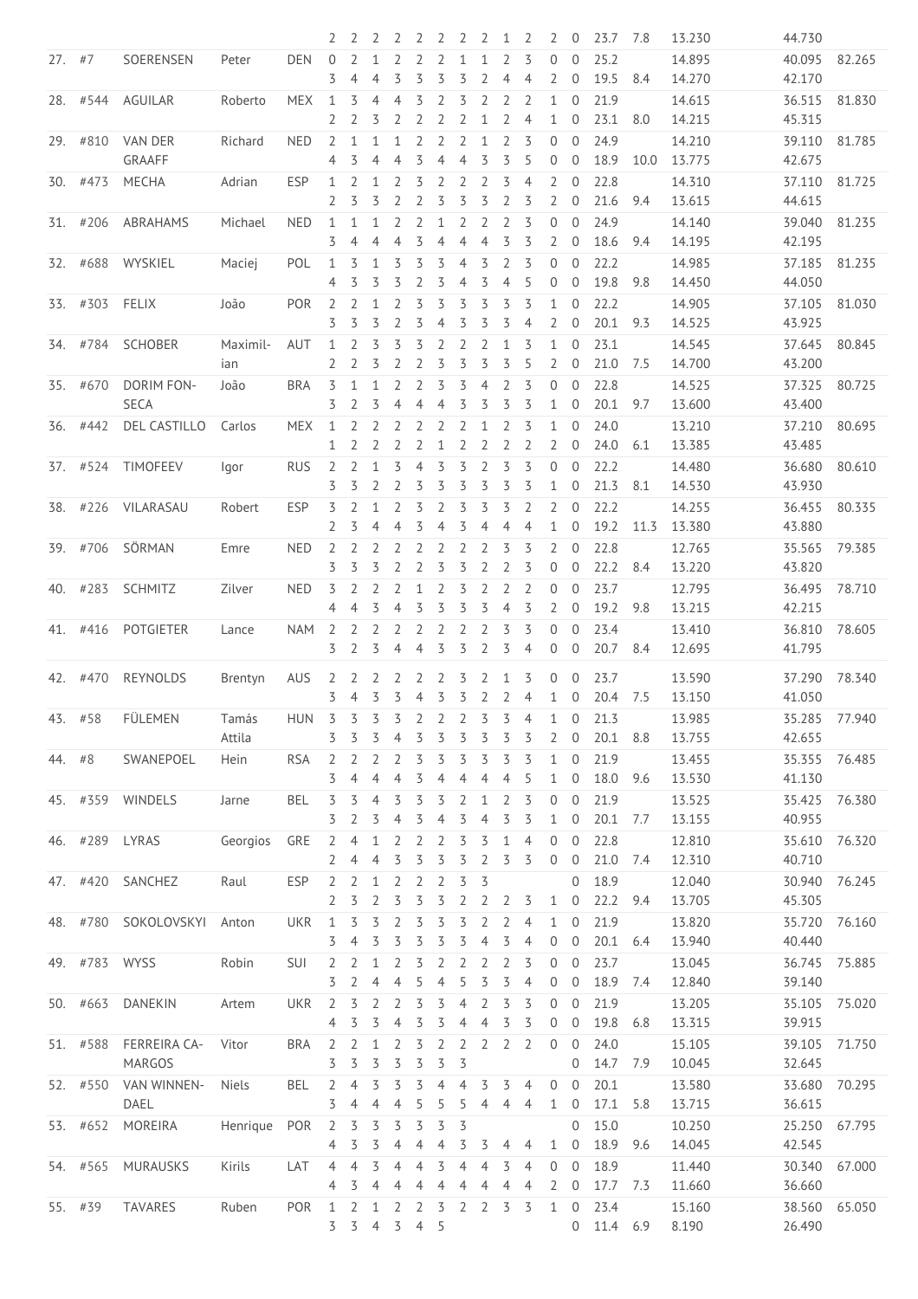|          |               |                          |                 |            | 2                                | 2                   |                   |                |                     |              |                     | 2                   | 1                   | 2                   | 2                              | 0                              | 23.7             | 7.8  | 13.230           | 44.730           |        |
|----------|---------------|--------------------------|-----------------|------------|----------------------------------|---------------------|-------------------|----------------|---------------------|--------------|---------------------|---------------------|---------------------|---------------------|--------------------------------|--------------------------------|------------------|------|------------------|------------------|--------|
| $27.$ #7 |               | SOERENSEN                | Peter           | <b>DEN</b> | $\mathbf{0}$<br>3                | 2<br>4              | $\mathbf{1}$<br>4 | 2<br>3         | $\overline{2}$<br>3 | 2<br>3       | 1<br>3              | 1<br>$\overline{2}$ | 2<br>$\overline{4}$ | 3<br>$\overline{4}$ | 0<br>$\overline{2}$            | $\overline{0}$<br>$\mathbf{0}$ | 25.2<br>19.5     | 8.4  | 14.895<br>14.270 | 40.095<br>42.170 | 82.265 |
|          | 28. #544      | AGUILAR                  | Roberto         | <b>MEX</b> | 1                                | 3                   | 4                 | 4              | 3                   | 2            | 3                   | $\overline{2}$      | $\overline{2}$      | $\overline{2}$      | 1                              | $\overline{0}$                 | 21.9             |      | 14.615           | 36.515           | 81.830 |
|          |               |                          |                 |            | 2                                | 2                   | 3                 | 2              | 2                   | 2            | 2                   | 1                   | $\overline{2}$      | $\overline{4}$      | $\mathbf{1}$                   | $\mathbf{0}$                   | 23.1             | 8.0  | 14.215           | 45.315           |        |
|          | 29. #810      | <b>VAN DER</b><br>GRAAFF | Richard         | <b>NED</b> | $\overline{2}$<br>4              | 1<br>3              | 1<br>4            | 1<br>4         | 2<br>3              | 2<br>4       | $\overline{2}$<br>4 | 1<br>3              | 2<br>3              | 3<br>5              | $\Omega$<br>$\overline{0}$     | $\overline{0}$<br>$\mathbf 0$  | 24.9<br>18.9     | 10.0 | 14.210<br>13.775 | 39.110<br>42.675 | 81.785 |
|          | 30. #473      |                          |                 | <b>ESP</b> |                                  | 2                   |                   |                | 3                   | 2            | 2                   | 2                   | 3                   | 4                   | 2                              | $\theta$                       | 22.8             |      |                  |                  | 81.725 |
|          |               | MECHA                    | Adrian          |            | 1                                |                     | 1                 | 2              |                     |              |                     |                     |                     |                     |                                |                                |                  |      | 14.310           | 37.110           |        |
|          |               |                          |                 |            | 2                                | 3                   | 3                 | 2              | 2                   | 3            | 3                   | 3                   | $\overline{2}$      | 3                   | 2                              | $\theta$                       | 21.6             | 9.4  | 13.615           | 44.615           |        |
| 31.      | #206          | <b>ABRAHAMS</b>          | Michael         | <b>NED</b> | 1<br>3                           | $\mathbf{1}$<br>4   | $\mathbf{1}$<br>4 | 2<br>4         | $\overline{2}$<br>3 | $\mathbf{1}$ | 2<br>4              | $\overline{2}$<br>4 | $\overline{2}$<br>3 | 3<br>3              | 0<br>2                         | $\mathbf{0}$<br>$\mathbf 0$    | 24.9<br>18.6     | 9.4  | 14.140<br>14.195 | 39.040<br>42.195 | 81.235 |
|          | 32. #688      | WYSKIEL                  | Maciej          | POL        | 1                                | 3                   | 1                 | 3              | 3                   | 3            | $\overline{4}$      | 3                   | $\overline{2}$      | 3                   | $\mathbf{0}$                   | $\mathbf{0}$                   | 22.2             |      | 14.985           | 37.185           | 81.235 |
|          |               |                          |                 |            | 4                                | 3                   | 3                 | 3              | 2                   | 3            | 4                   | 3                   | $\overline{4}$      | 5                   | $\overline{0}$                 | $\mathbf{0}$                   | 19.8             | 9.8  | 14.450           | 44.050           |        |
|          | 33. #303      | FELIX                    | João            | <b>POR</b> | $\overline{2}$<br>3              | $\overline{2}$<br>3 | $\mathbf{1}$<br>3 | 2<br>2         | 3<br>3              | 3<br>4       | 3<br>3              | 3<br>3              | 3<br>3              | 3<br>$\overline{4}$ | 1<br>2                         | $\overline{0}$<br>$\mathbf 0$  | 22.2<br>20.1     | 9.3  | 14.905<br>14.525 | 37.105<br>43.925 | 81.030 |
| 34.      | #784          | SCHOBER                  | Maximil-        | AUT        | 1                                | 2                   | 3                 | 3              | 3                   | 2            | 2                   | $\overline{2}$      | $\mathbf{1}$        | 3                   | 1                              | $\Omega$                       | 23.1             |      | 14.545           | 37.645           | 80.845 |
|          |               |                          | ian             |            | 2                                | 2                   | 3                 | 2              | 2                   | 3            | 3                   | 3                   | 3                   | 5                   | $\overline{2}$                 | $\mathbf 0$                    | 21.0             | 7.5  | 14.700           | 43.200           |        |
| 35.      | #670          | DORIM FON-               | João            | <b>BRA</b> | 3                                | 1                   | 1                 | 2              | 2                   | 3            | 3                   | $\overline{4}$      | 2                   | 3                   | 0                              | $\theta$                       | 22.8             |      | 14.525           | 37.325           | 80.725 |
|          |               | <b>SECA</b>              |                 |            | 3                                | $\overline{2}$      | 3                 | 4              | 4                   | 4            | 3                   | 3                   | 3                   | 3                   | 1                              | $\overline{0}$                 | 20.1             | 9.7  | 13.600           | 43.400           |        |
| 36.      | #442          | <b>DEL CASTILLO</b>      | Carlos          | <b>MEX</b> | 1                                | 2                   | $\overline{2}$    | 2              | 2                   | 2            | 2                   | 1                   | $\overline{2}$      | 3                   | $\mathbf{1}$                   | $\overline{0}$                 | 24.0             |      | 13.210           | 37.210           | 80.695 |
|          |               |                          |                 |            | 1                                | 2                   | 2                 | 2              | 2                   | 1            | 2                   | 2                   | $\overline{2}$      | 2                   | 2                              | $\theta$                       | 24.0             | 6.1  | 13.385           | 43.485           |        |
|          | 37. #524      | <b>TIMOFEEV</b>          | lgor            | <b>RUS</b> | $\overline{2}$<br>3              | $\overline{2}$<br>3 | 1<br>2            | 3<br>2         | 4<br>3              | 3<br>3       | 3<br>3              | $\overline{2}$<br>3 | 3<br>3              | 3<br>3              | $\overline{0}$<br>$\mathbf{1}$ | $\overline{0}$<br>$\mathbf{0}$ | 22.2<br>21.3     | 8.1  | 14.480<br>14.530 | 36.680<br>43.930 | 80.610 |
| 38.      | #226          | VILARASAU                | Robert          | <b>ESP</b> | 3                                | 2                   | 1                 | 2              | 3                   | 2            | 3                   | 3                   | 3                   | 2                   | 2                              | $\overline{0}$                 | 22.2             |      | 14.255           | 36.455           | 80.335 |
|          |               |                          |                 |            | 2                                | 3                   | 4                 | 4              | 3                   |              | 3                   | $\overline{4}$      | $\overline{4}$      | $\overline{4}$      | $\mathbf{1}$                   | $\mathbf 0$                    | 19.2             | 11.3 |                  |                  |        |
|          |               |                          |                 |            |                                  |                     |                   |                |                     | 4            |                     |                     |                     |                     |                                |                                |                  |      | 13.380           | 43.880           |        |
| 39.      | #706          | SÖRMAN                   | Emre            | <b>NED</b> | $\overline{2}$<br>3              | 2<br>3              | 2<br>3            | 2<br>2         | 2<br>$\overline{2}$ | 2<br>3       | 2<br>3              | 2<br>$\overline{2}$ | 3<br>$\overline{2}$ | 3<br>3              | 2<br>$\mathbf 0$               | $\overline{0}$<br>$\mathbf 0$  | 22.8<br>22.2     | 8.4  | 12.765<br>13.220 | 35.565<br>43.820 | 79.385 |
| 40.      | #283          | <b>SCHMITZ</b>           | Zilver          | <b>NED</b> | 3                                | 2                   | 2                 | 2              | 1                   | 2            | 3                   | $\overline{2}$      | 2                   | 2                   | 0                              | $\theta$                       | 23.7             |      | 12.795           | 36.495           | 78.710 |
|          |               |                          |                 |            | $\overline{4}$                   | 4                   | 3                 | 4              | 3                   | 3            | 3                   | 3                   | $\overline{4}$      | 3                   | 2                              | $\mathbf 0$                    | 19.2             | 9.8  | 13.215           | 42.215           |        |
| 41.      | #416          | <b>POTGIETER</b>         | Lance           | <b>NAM</b> | $\overline{2}$                   | 2                   | $\overline{2}$    | 2              | 2                   | 2            | 2                   | $\overline{2}$      | 3                   | 3                   | 0                              | $\overline{0}$                 | 23.4             |      | 13.410           | 36.810           | 78.605 |
|          |               |                          |                 |            | 3                                | $\overline{2}$      | 3                 | 4              | 4                   | 3            | 3                   | $\overline{2}$      | 3                   | 4                   | $\mathbf 0$                    | $\mathbf 0$                    | 20.7             | 8.4  | 12.695           | 41.795           |        |
|          |               |                          |                 |            |                                  |                     |                   |                |                     |              |                     |                     |                     |                     |                                |                                |                  |      |                  |                  |        |
|          | 42. #470      | REYNOLDS                 | Brentyn         | AUS        | 2<br>3                           | 2<br>$\overline{4}$ | 2<br>3            | 2<br>3         | 2<br>4              | 2<br>3       | 3<br>3              | 2<br>2              | 1<br>2              | 3<br>4              | $\mathbf{0}$<br>$\mathbf{1}$   | $\mathbf{0}$<br>$\mathbf 0$    | 23.7<br>20.4     | 7.5  | 13.590<br>13.150 | 37.290<br>41.050 | 78.340 |
|          |               |                          |                 |            |                                  |                     |                   |                |                     |              |                     |                     |                     |                     |                                |                                |                  |      |                  |                  |        |
| 43.      | #58           | FÜLEMEN                  | Tamás<br>Attila | <b>HUN</b> | 3<br>3                           | 3<br>3              | 3<br>3            | 3<br>4         | 2<br>3              | 2<br>3       | 2<br>3              | 3<br>3              | 3<br>3              | $\overline{4}$<br>3 | 1<br>2                         | $\mathbf{0}$<br>0              | 21.3<br>20.1     | 8.8  | 13.985<br>13.755 | 35.285<br>42.655 | 77.940 |
| 44.      | #8            | SWANEPOEL                | Hein            | <b>RSA</b> | 2                                | 2                   | 2                 | 2              | 3                   | 3            | 3                   | 3                   | 3                   | 3                   | $\mathbf 1$                    | $\overline{0}$                 | 21.9             |      | 13.455           | 35.355           | 76.485 |
|          |               |                          |                 |            | 3                                | 4                   | 4                 | 4              | 3                   | 4            | 4                   | $\overline{4}$      | 4                   | 5                   | $\mathbf{1}$                   | $\mathbf 0$                    | 18.0             | 9.6  | 13.530           | 41.130           |        |
|          | 45. #359      |                          |                 | <b>BEL</b> | 3                                | 3                   | 4                 | 3              | 3                   | 3            | 2                   |                     | 2                   | 3                   | $\mathbf{0}$                   | $\overline{0}$                 | 21.9             |      |                  |                  | 76.380 |
|          |               | WINDELS                  | Jarne           |            | 3                                | 2                   | 3                 | 4              | 3                   | 4            | 3                   | 1<br>$\overline{4}$ | 3                   | 3                   | $\mathbf{1}$                   | $\mathbf 0$                    | 20.1             | 7.7  | 13.525<br>13.155 | 35.425<br>40.955 |        |
|          |               |                          |                 |            |                                  |                     |                   |                |                     |              |                     |                     |                     |                     |                                |                                |                  |      |                  |                  |        |
| 46.      | #289          | LYRAS                    | Georgios        | GRE        | $\overline{2}$                   | 4                   | $\mathbf{1}$      | 2              | 2                   | 2            | 3                   | 3                   | $\mathbf{1}$        | $\overline{4}$      | $\overline{0}$                 | $\overline{0}$                 | 22.8             |      | 12.810           | 35.610           | 76.320 |
|          |               |                          |                 |            | 2                                | 4                   | 4                 | 3              | 3                   | 3            | 3                   | $\overline{2}$      | 3                   | 3                   | $\mathbf 0$                    | $\mathbf 0$                    | 21.0             | 7.4  | 12.310           | 40.710           |        |
|          | 47. #420      | SANCHEZ                  | Raul            | ESP        | $\overline{2}$                   | $\overline{2}$      | 1                 | $\overline{2}$ | $\overline{2}$      | 2            | 3                   | 3                   |                     |                     |                                | $\mathbf{0}$                   | 18.9             |      | 12.040           | 30.940           | 76.245 |
|          |               |                          |                 |            | $\overline{2}$                   | 3                   | $\overline{2}$    | 3              | 3                   | 3            | 2                   | 2                   | 2                   | 3                   | 1                              | $\mathbf 0$                    | 22.2             | 9.4  | 13.705           | 45.305           |        |
|          | 48. #780      | SOKOLOVSKYI              | Anton           | <b>UKR</b> | 1<br>3                           | 3<br>4              | 3<br>3            | 2<br>3         | 3<br>3              | 3<br>3       | 3<br>3              | 2<br>$\overline{4}$ | 2<br>3              | 4<br>$\overline{4}$ | 1<br>$\mathbf{0}$              | $\mathbf 0$<br>$\mathbf 0$     | 21.9<br>20.1     | 6.4  | 13.820<br>13.940 | 35.720<br>40.440 | 76.160 |
|          |               |                          |                 |            |                                  |                     |                   |                |                     |              |                     |                     |                     |                     |                                |                                | 23.7             |      |                  |                  |        |
|          | 49. #783 WYSS |                          | Robin           | SUI        | 2                                | 2                   | 1                 | 2              | 3                   | 2            | 2                   | $\overline{2}$      | 2                   | 3                   | 0                              | $\mathbf{0}$                   |                  |      | 13.045           | 36.745           | 75.885 |
|          |               |                          |                 |            | 3                                | 2                   | 4                 | 4              | 5                   | 4            | 5                   | $\mathsf 3$         | 3                   | 4                   | $\mathbf 0$                    | $\boldsymbol{0}$               | 18.9             | 7.4  | 12.840           | 39.140           |        |
|          | 50. #663      | DANEKIN                  | Artem           | <b>UKR</b> | $\overline{2}$<br>$\overline{4}$ | 3<br>3              | 2<br>3            | 2<br>4         | 3<br>3              | 3<br>3       | $\overline{4}$<br>4 | 2<br>$\overline{4}$ | 3<br>3              | 3<br>3              | $\mathbf{0}$<br>$\mathbf 0$    | $\mathbf 0$<br>$\mathbf 0$     | 21.9<br>19.8     | 6.8  | 13.205<br>13.315 | 35.105<br>39.915 | 75.020 |
|          | 51. #588      | FERREIRA CA-             | Vitor           | <b>BRA</b> | $\overline{2}$                   | $\overline{2}$      | $\mathbf{1}$      | 2              | 3                   | 2            | $\overline{2}$      | $\overline{2}$      | $\overline{2}$      | $\overline{2}$      | $\mathbf 0$                    | $\mathbf{0}$                   | 24.0             |      | 15.105           | 39.105           | 71.750 |
|          |               | MARGOS                   |                 |            | 3                                | 3                   | 3                 | 3              | 3                   | 3            | 3                   |                     |                     |                     |                                | $\mathbf 0$                    | 14.7             | 7.9  | 10.045           | 32.645           |        |
|          | 52. #550      | VAN WINNEN-              | <b>Niels</b>    | <b>BEL</b> | 2                                | 4                   | 3                 | 3              | 3                   | 4            | 4                   | 3                   | 3                   | 4                   | $\mathbf 0$                    | $\mathbf 0$                    | 20.1             |      | 13.580           | 33.680           | 70.295 |
|          |               | DAEL                     |                 |            | 3                                | 4                   | 4                 | 4              | 5                   | 5            | 5                   | 4                   | 4                   | 4                   | 1                              | $\theta$                       | 17.1             | 5.8  | 13.715           | 36.615           |        |
|          |               |                          |                 |            |                                  |                     |                   |                |                     |              |                     |                     |                     |                     |                                |                                |                  |      |                  |                  |        |
|          | 53. #652      | MOREIRA                  | Henrique        | POR        | 2<br>4                           | 3<br>3              | 3<br>3            | 3<br>4         | 3<br>4              | 3<br>4       | 3<br>3              | 3                   | 4                   | 4                   | $\mathbf{1}$                   | $\mathbf{0}$<br>$\mathbf 0$    | 15.0<br>18.9     | 9.6  | 10.250<br>14.045 | 25.250<br>42.545 | 67.795 |
|          |               |                          |                 |            |                                  |                     |                   |                |                     |              |                     |                     |                     |                     |                                |                                |                  |      |                  |                  |        |
|          | 54. #565      | MURAUSKS                 | Kirils          | LAT        | 4<br>4                           | 4                   | 3<br>4            | 4              | 4                   | 3            | 4                   | $\overline{4}$      | 3                   | $\overline{4}$      | 0                              | $\overline{0}$                 | 18.9<br>17.7 7.3 |      | 11.440           | 30.340           | 67.000 |
|          |               |                          |                 |            |                                  | 3                   |                   | 4              | 4                   | 4            | 4                   | 4                   | 4                   | 4                   | 2                              | $\theta$                       |                  |      | 11.660           | 36.660           |        |
|          | 55. #39       | TAVARES                  | Ruben           | POR        | $\mathbf{1}$                     | $\overline{2}$      | $\mathbf{1}$      | 2              | 2                   | 3            | $\overline{2}$      | $\overline{2}$      | 3                   | 3                   | $\mathbf{1}$                   | $\mathbf{0}$                   | 23.4             |      | 15.160           | 38.560           | 65.050 |
|          |               |                          |                 |            | 3                                | $\overline{3}$      | $\overline{4}$    |                | $3 \quad 4 \quad 5$ |              |                     |                     |                     |                     |                                |                                | $0$ 11.4         | 6.9  | 8.190            | 26.490           |        |